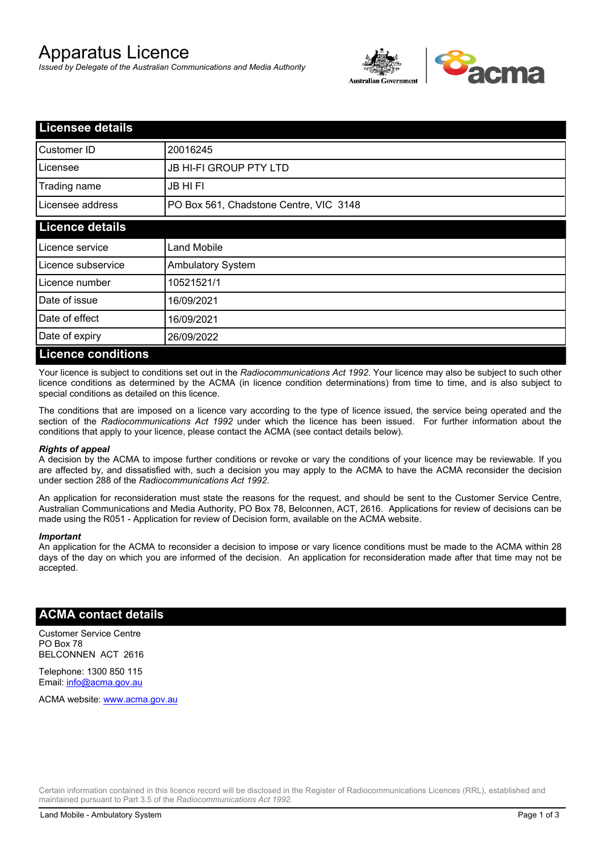# Apparatus Licence

*Issued by Delegate of the Australian Communications and Media Authority*



| <b>Licensee details</b>   |                                        |  |
|---------------------------|----------------------------------------|--|
| Customer ID               | 20016245                               |  |
| Licensee                  | <b>JB HI-FI GROUP PTY LTD</b>          |  |
| Trading name              | <b>JB HIFI</b>                         |  |
| Licensee address          | PO Box 561, Chadstone Centre, VIC 3148 |  |
| <b>Licence details</b>    |                                        |  |
| Licence service           | <b>Land Mobile</b>                     |  |
| Licence subservice        | <b>Ambulatory System</b>               |  |
| Licence number            | 10521521/1                             |  |
| Date of issue             | 16/09/2021                             |  |
| Date of effect            | 16/09/2021                             |  |
| Date of expiry            | 26/09/2022                             |  |
| <b>Licence conditions</b> |                                        |  |

Your licence is subject to conditions set out in the *Radiocommunications Act 1992*. Your licence may also be subject to such other licence conditions as determined by the ACMA (in licence condition determinations) from time to time, and is also subject to special conditions as detailed on this licence.

The conditions that are imposed on a licence vary according to the type of licence issued, the service being operated and the section of the *Radiocommunications Act 1992* under which the licence has been issued. For further information about the conditions that apply to your licence, please contact the ACMA (see contact details below).

### *Rights of appeal*

A decision by the ACMA to impose further conditions or revoke or vary the conditions of your licence may be reviewable. If you are affected by, and dissatisfied with, such a decision you may apply to the ACMA to have the ACMA reconsider the decision under section 288 of the *Radiocommunications Act 1992*.

An application for reconsideration must state the reasons for the request, and should be sent to the Customer Service Centre, Australian Communications and Media Authority, PO Box 78, Belconnen, ACT, 2616. Applications for review of decisions can be made using the R051 - Application for review of Decision form, available on the ACMA website.

#### *Important*

An application for the ACMA to reconsider a decision to impose or vary licence conditions must be made to the ACMA within 28 days of the day on which you are informed of the decision. An application for reconsideration made after that time may not be accepted.

### **ACMA contact details**

Customer Service Centre PO Box 78 BELCONNEN ACT 2616

Telephone: 1300 850 115 Email: info@acma.gov.au

ACMA website: www.acma.gov.au

Certain information contained in this licence record will be disclosed in the Register of Radiocommunications Licences (RRL), established and maintained pursuant to Part 3.5 of the *Radiocommunications Act 1992.*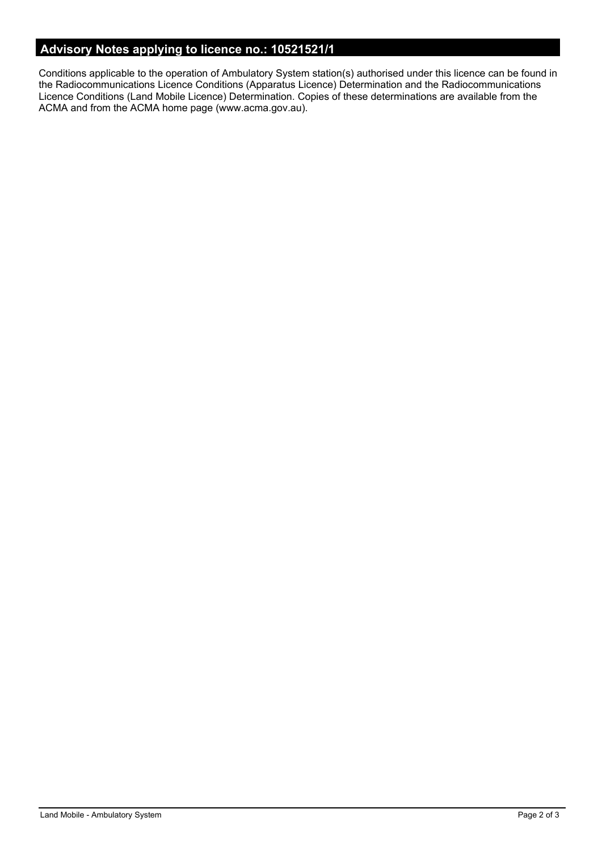# **Advisory Notes applying to licence no.: 10521521/1**

Conditions applicable to the operation of Ambulatory System station(s) authorised under this licence can be found in the Radiocommunications Licence Conditions (Apparatus Licence) Determination and the Radiocommunications Licence Conditions (Land Mobile Licence) Determination. Copies of these determinations are available from the ACMA and from the ACMA home page (www.acma.gov.au).